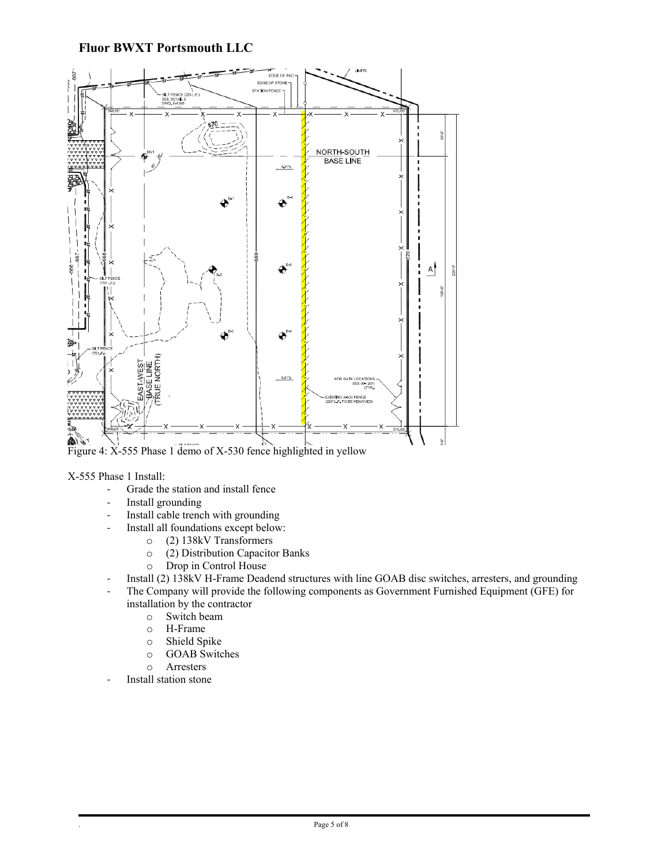## **Fluor BWXT Portsmouth LLC**



## X-555 Phase 1 Install:

- Grade the station and install fence
- Install grounding
- Install cable trench with grounding
- Install all foundations except below:
	- o (2) 138kV Transformers
	- o (2) Distribution Capacitor Banks
	- Drop in Control House
- Install (2) 138kV H-Frame Deadend structures with line GOAB disc switches, arresters, and grounding
- The Company will provide the following components as Government Furnished Equipment (GFE) for installation by the contractor
	- o Switch beam
	- o H-Frame
	-
	- o Shield Spike o GOAB Switches
	- Arresters
- Install station stone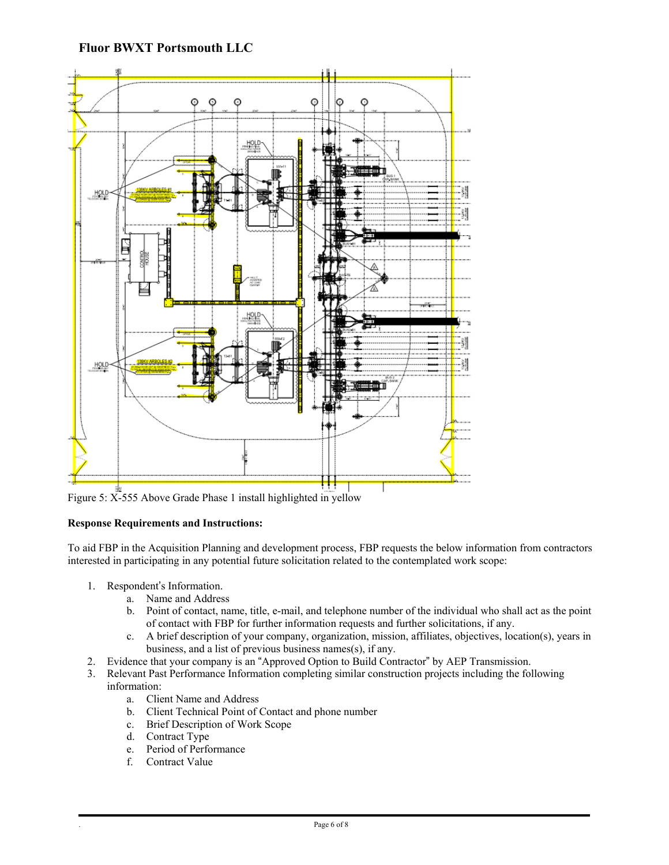

Figure 5: X-555 Above Grade Phase 1 install highlighted in yellow

## **Response Requirements and Instructions:**

To aid FBP in the Acquisition Planning and development process, FBP requests the below information from contractors interested in participating in any potential future solicitation related to the contemplated work scope:

- 1. Respondent's Information.
	- a. Name and Address
	- b. Point of contact, name, title, e-mail, and telephone number of the individual who shall act as the point of contact with FBP for further information requests and further solicitations, if any.
	- c. A brief description of your company, organization, mission, affiliates, objectives, location(s), years in business, and a list of previous business names(s), if any.
- 2. Evidence that your company is an "Approved Option to Build Contractor" by AEP Transmission.
- 3. Relevant Past Performance Information completing similar construction projects including the following
	- information:
		- a. Client Name and Address
		- b. Client Technical Point of Contact and phone number
		- c. Brief Description of Work Scope
		- d. Contract Type
		- e. Period of Performance
		- f. Contract Value